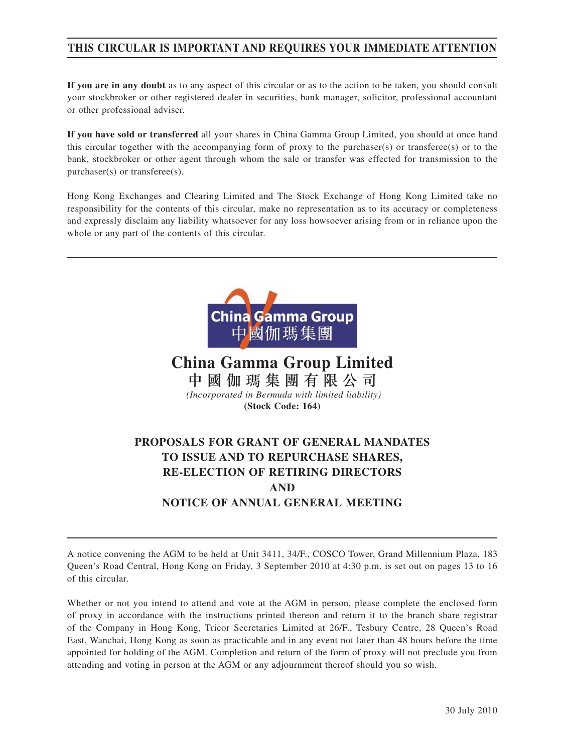# **THIS CIRCULAR IS IMPORTANT AND REQUIRES YOUR IMMEDIATE ATTENTION**

**If you are in any doubt** as to any aspect of this circular or as to the action to be taken, you should consult your stockbroker or other registered dealer in securities, bank manager, solicitor, professional accountant or other professional adviser.

**If you have sold or transferred** all your shares in China Gamma Group Limited, you should at once hand this circular together with the accompanying form of proxy to the purchaser(s) or transferee(s) or to the bank, stockbroker or other agent through whom the sale or transfer was effected for transmission to the purchaser(s) or transferee(s).

Hong Kong Exchanges and Clearing Limited and The Stock Exchange of Hong Kong Limited take no responsibility for the contents of this circular, make no representation as to its accuracy or completeness and expressly disclaim any liability whatsoever for any loss howsoever arising from or in reliance upon the whole or any part of the contents of this circular.



**China Gamma Group Limited** 中國伽瑪集團有限公司  *(Incorporated in Bermuda with limited liability)* **(Stock Code: 164)**

# **PROPOSALS FOR GRANT OF GENERAL MANDATES TO ISSUE AND TO REPURCHASE SHARES, RE-ELECTION OF RETIRING DIRECTORS AND NOTICE OF ANNUAL GENERAL MEETING**

A notice convening the AGM to be held at Unit 3411, 34/F., COSCO Tower, Grand Millennium Plaza, 183 Queen's Road Central, Hong Kong on Friday, 3 September 2010 at 4:30 p.m. is set out on pages 13 to 16 of this circular.

Whether or not you intend to attend and vote at the AGM in person, please complete the enclosed form of proxy in accordance with the instructions printed thereon and return it to the branch share registrar of the Company in Hong Kong, Tricor Secretaries Limited at 26/F., Tesbury Centre, 28 Queen's Road East, Wanchai, Hong Kong as soon as practicable and in any event not later than 48 hours before the time appointed for holding of the AGM. Completion and return of the form of proxy will not preclude you from attending and voting in person at the AGM or any adjournment thereof should you so wish.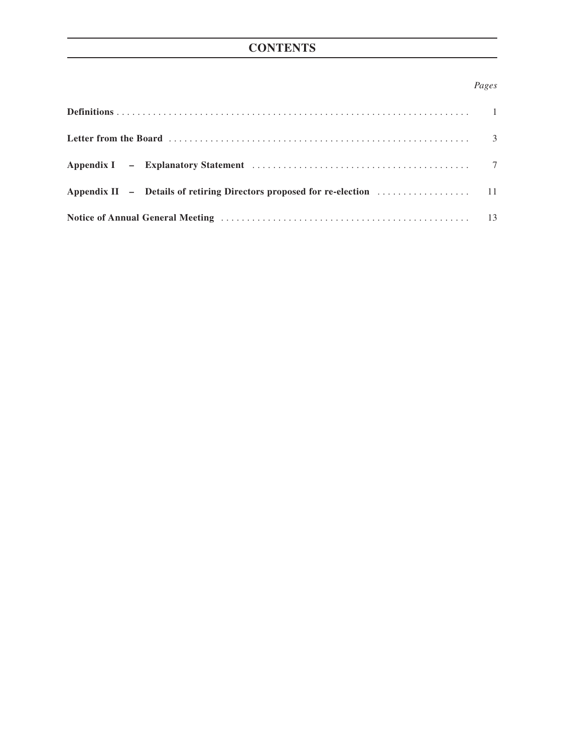# **CONTENTS**

# *Pages*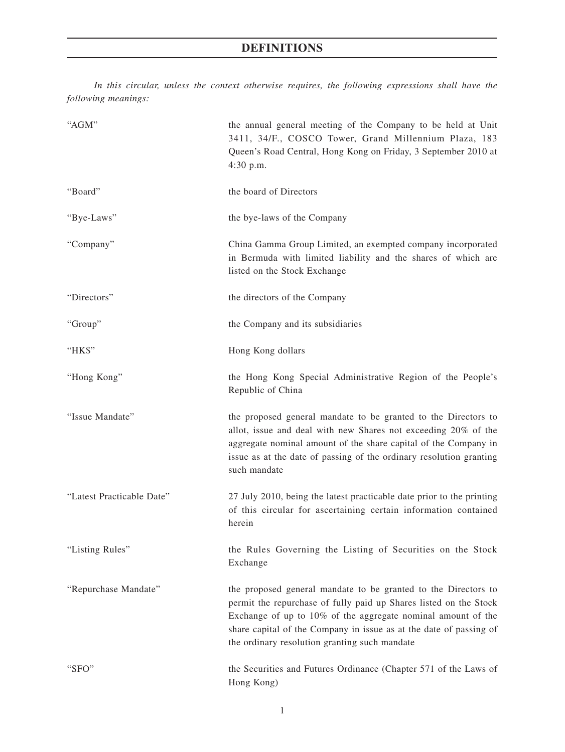# **DEFINITIONS**

*In this circular, unless the context otherwise requires, the following expressions shall have the following meanings:*

| "AGM"                     | the annual general meeting of the Company to be held at Unit<br>3411, 34/F., COSCO Tower, Grand Millennium Plaza, 183<br>Queen's Road Central, Hong Kong on Friday, 3 September 2010 at<br>4:30 p.m.                                                                                                                       |
|---------------------------|----------------------------------------------------------------------------------------------------------------------------------------------------------------------------------------------------------------------------------------------------------------------------------------------------------------------------|
| "Board"                   | the board of Directors                                                                                                                                                                                                                                                                                                     |
| "Bye-Laws"                | the bye-laws of the Company                                                                                                                                                                                                                                                                                                |
| "Company"                 | China Gamma Group Limited, an exempted company incorporated<br>in Bermuda with limited liability and the shares of which are<br>listed on the Stock Exchange                                                                                                                                                               |
| "Directors"               | the directors of the Company                                                                                                                                                                                                                                                                                               |
| "Group"                   | the Company and its subsidiaries                                                                                                                                                                                                                                                                                           |
| "HK\$"                    | Hong Kong dollars                                                                                                                                                                                                                                                                                                          |
| "Hong Kong"               | the Hong Kong Special Administrative Region of the People's<br>Republic of China                                                                                                                                                                                                                                           |
| "Issue Mandate"           | the proposed general mandate to be granted to the Directors to<br>allot, issue and deal with new Shares not exceeding 20% of the<br>aggregate nominal amount of the share capital of the Company in<br>issue as at the date of passing of the ordinary resolution granting<br>such mandate                                 |
| "Latest Practicable Date" | 27 July 2010, being the latest practicable date prior to the printing<br>of this circular for ascertaining certain information contained<br>herein                                                                                                                                                                         |
| "Listing Rules"           | the Rules Governing the Listing of Securities on the Stock<br>Exchange                                                                                                                                                                                                                                                     |
| "Repurchase Mandate"      | the proposed general mandate to be granted to the Directors to<br>permit the repurchase of fully paid up Shares listed on the Stock<br>Exchange of up to 10% of the aggregate nominal amount of the<br>share capital of the Company in issue as at the date of passing of<br>the ordinary resolution granting such mandate |
| "SFO"                     | the Securities and Futures Ordinance (Chapter 571 of the Laws of<br>Hong Kong)                                                                                                                                                                                                                                             |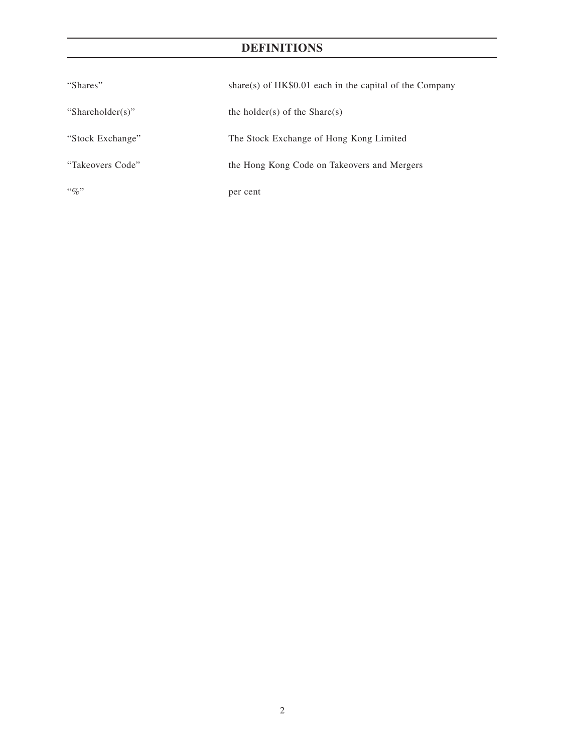# **DEFINITIONS**

| "Shares"         | share(s) of $HK\$0.01$ each in the capital of the Company |
|------------------|-----------------------------------------------------------|
| "Shareholder(s)" | the holder(s) of the Share(s)                             |
| "Stock Exchange" | The Stock Exchange of Hong Kong Limited                   |
| "Takeovers Code" | the Hong Kong Code on Takeovers and Mergers               |
| $``\%"$          | per cent                                                  |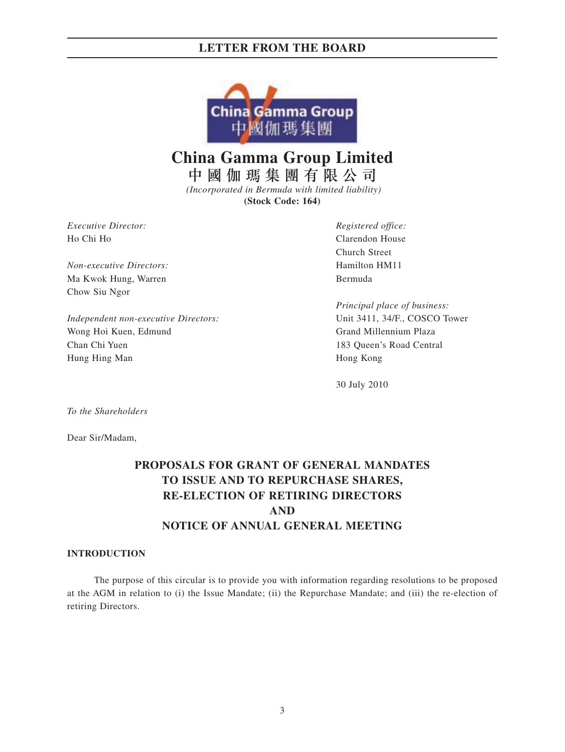

**China Gamma Group Limited**

中國伽瑪集團有限公司  *(Incorporated in Bermuda with limited liability)*

**(Stock Code: 164)**

*Executive Director: Registered office:* Ho Chi Ho Clarendon House

*Non-executive Directors:* Hamilton HM11 Ma Kwok Hung, Warren Bermuda Chow Siu Ngor

*Independent non-executive Directors:* Unit 3411, 34/F., COSCO Tower Wong Hoi Kuen, Edmund Grand Millennium Plaza Chan Chi Yuen 183 Queen's Road Central Hung Hing Man Hong Kong

Church Street

*Principal place of business:*

30 July 2010

*To the Shareholders*

Dear Sir/Madam,

# **PROPOSALS FOR GRANT OF GENERAL MANDATES TO ISSUE AND TO REPURCHASE SHARES, RE-ELECTION OF RETIRING DIRECTORS AND NOTICE OF ANNUAL GENERAL MEETING**

### **INTRODUCTION**

The purpose of this circular is to provide you with information regarding resolutions to be proposed at the AGM in relation to (i) the Issue Mandate; (ii) the Repurchase Mandate; and (iii) the re-election of retiring Directors.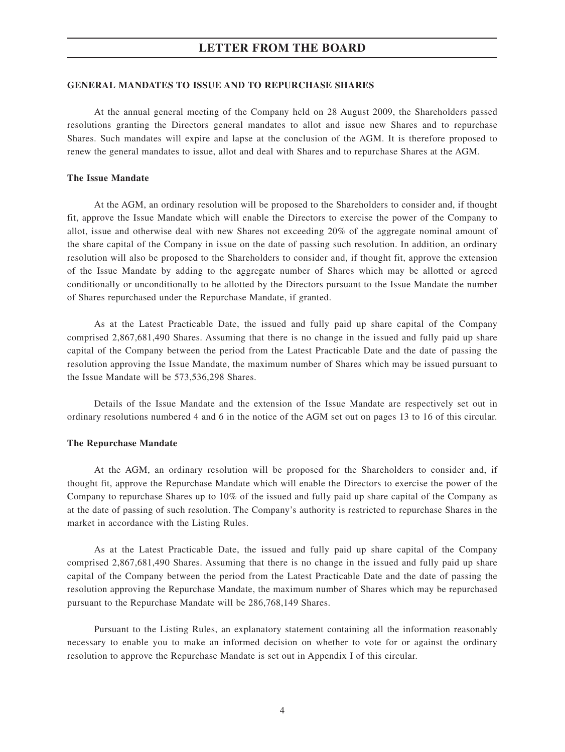### **GENERAL MANDATES TO ISSUE AND TO REPURCHASE SHARES**

At the annual general meeting of the Company held on 28 August 2009, the Shareholders passed resolutions granting the Directors general mandates to allot and issue new Shares and to repurchase Shares. Such mandates will expire and lapse at the conclusion of the AGM. It is therefore proposed to renew the general mandates to issue, allot and deal with Shares and to repurchase Shares at the AGM.

### **The Issue Mandate**

At the AGM, an ordinary resolution will be proposed to the Shareholders to consider and, if thought fit, approve the Issue Mandate which will enable the Directors to exercise the power of the Company to allot, issue and otherwise deal with new Shares not exceeding 20% of the aggregate nominal amount of the share capital of the Company in issue on the date of passing such resolution. In addition, an ordinary resolution will also be proposed to the Shareholders to consider and, if thought fit, approve the extension of the Issue Mandate by adding to the aggregate number of Shares which may be allotted or agreed conditionally or unconditionally to be allotted by the Directors pursuant to the Issue Mandate the number of Shares repurchased under the Repurchase Mandate, if granted.

As at the Latest Practicable Date, the issued and fully paid up share capital of the Company comprised 2,867,681,490 Shares. Assuming that there is no change in the issued and fully paid up share capital of the Company between the period from the Latest Practicable Date and the date of passing the resolution approving the Issue Mandate, the maximum number of Shares which may be issued pursuant to the Issue Mandate will be 573,536,298 Shares.

Details of the Issue Mandate and the extension of the Issue Mandate are respectively set out in ordinary resolutions numbered 4 and 6 in the notice of the AGM set out on pages 13 to 16 of this circular.

### **The Repurchase Mandate**

At the AGM, an ordinary resolution will be proposed for the Shareholders to consider and, if thought fit, approve the Repurchase Mandate which will enable the Directors to exercise the power of the Company to repurchase Shares up to 10% of the issued and fully paid up share capital of the Company as at the date of passing of such resolution. The Company's authority is restricted to repurchase Shares in the market in accordance with the Listing Rules.

As at the Latest Practicable Date, the issued and fully paid up share capital of the Company comprised 2,867,681,490 Shares. Assuming that there is no change in the issued and fully paid up share capital of the Company between the period from the Latest Practicable Date and the date of passing the resolution approving the Repurchase Mandate, the maximum number of Shares which may be repurchased pursuant to the Repurchase Mandate will be 286,768,149 Shares.

Pursuant to the Listing Rules, an explanatory statement containing all the information reasonably necessary to enable you to make an informed decision on whether to vote for or against the ordinary resolution to approve the Repurchase Mandate is set out in Appendix I of this circular.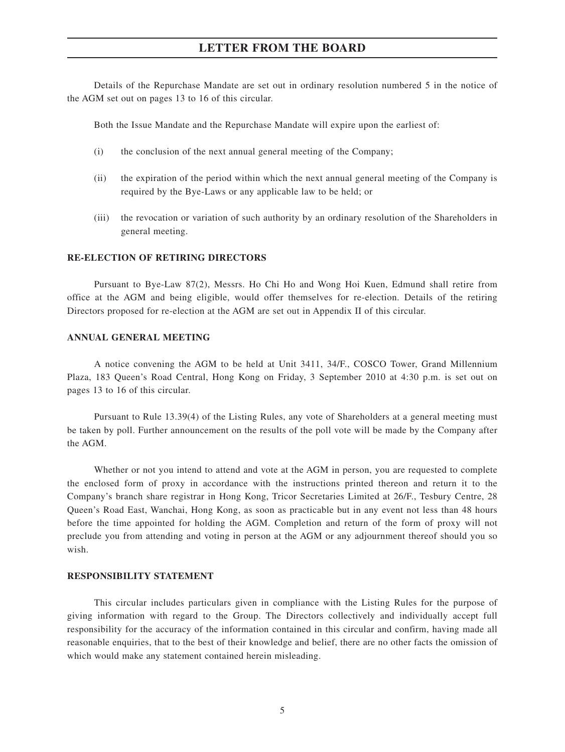Details of the Repurchase Mandate are set out in ordinary resolution numbered 5 in the notice of the AGM set out on pages 13 to 16 of this circular.

Both the Issue Mandate and the Repurchase Mandate will expire upon the earliest of:

- (i) the conclusion of the next annual general meeting of the Company;
- (ii) the expiration of the period within which the next annual general meeting of the Company is required by the Bye-Laws or any applicable law to be held; or
- (iii) the revocation or variation of such authority by an ordinary resolution of the Shareholders in general meeting.

### **RE-ELECTION OF RETIRING DIRECTORS**

Pursuant to Bye-Law 87(2), Messrs. Ho Chi Ho and Wong Hoi Kuen, Edmund shall retire from office at the AGM and being eligible, would offer themselves for re-election. Details of the retiring Directors proposed for re-election at the AGM are set out in Appendix II of this circular.

### **ANNUAL GENERAL MEETING**

A notice convening the AGM to be held at Unit 3411, 34/F., COSCO Tower, Grand Millennium Plaza, 183 Queen's Road Central, Hong Kong on Friday, 3 September 2010 at 4:30 p.m. is set out on pages 13 to 16 of this circular.

Pursuant to Rule 13.39(4) of the Listing Rules, any vote of Shareholders at a general meeting must be taken by poll. Further announcement on the results of the poll vote will be made by the Company after the AGM.

Whether or not you intend to attend and vote at the AGM in person, you are requested to complete the enclosed form of proxy in accordance with the instructions printed thereon and return it to the Company's branch share registrar in Hong Kong, Tricor Secretaries Limited at 26/F., Tesbury Centre, 28 Queen's Road East, Wanchai, Hong Kong, as soon as practicable but in any event not less than 48 hours before the time appointed for holding the AGM. Completion and return of the form of proxy will not preclude you from attending and voting in person at the AGM or any adjournment thereof should you so wish.

### **RESPONSIBILITY STATEMENT**

This circular includes particulars given in compliance with the Listing Rules for the purpose of giving information with regard to the Group. The Directors collectively and individually accept full responsibility for the accuracy of the information contained in this circular and confirm, having made all reasonable enquiries, that to the best of their knowledge and belief, there are no other facts the omission of which would make any statement contained herein misleading.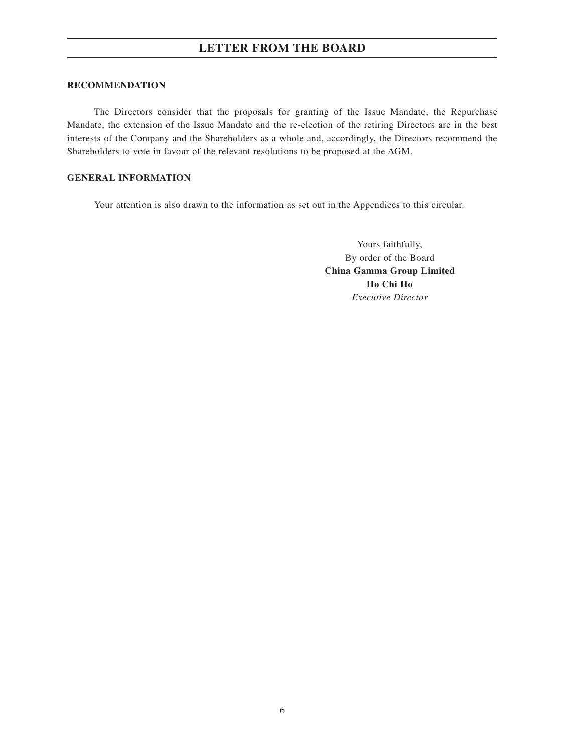### **RECOMMENDATION**

The Directors consider that the proposals for granting of the Issue Mandate, the Repurchase Mandate, the extension of the Issue Mandate and the re-election of the retiring Directors are in the best interests of the Company and the Shareholders as a whole and, accordingly, the Directors recommend the Shareholders to vote in favour of the relevant resolutions to be proposed at the AGM.

### **GENERAL INFORMATION**

Your attention is also drawn to the information as set out in the Appendices to this circular.

Yours faithfully, By order of the Board **China Gamma Group Limited Ho Chi Ho** *Executive Director*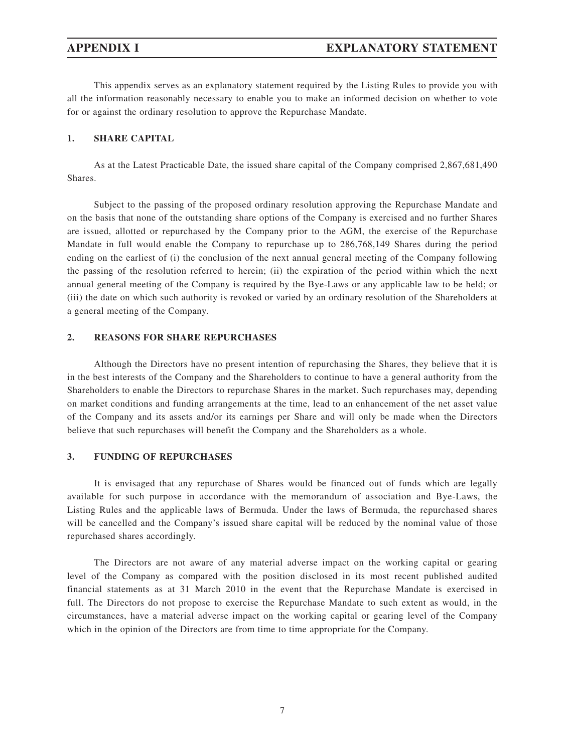This appendix serves as an explanatory statement required by the Listing Rules to provide you with all the information reasonably necessary to enable you to make an informed decision on whether to vote for or against the ordinary resolution to approve the Repurchase Mandate.

### **1. SHARE CAPITAL**

As at the Latest Practicable Date, the issued share capital of the Company comprised 2,867,681,490 Shares.

Subject to the passing of the proposed ordinary resolution approving the Repurchase Mandate and on the basis that none of the outstanding share options of the Company is exercised and no further Shares are issued, allotted or repurchased by the Company prior to the AGM, the exercise of the Repurchase Mandate in full would enable the Company to repurchase up to 286,768,149 Shares during the period ending on the earliest of (i) the conclusion of the next annual general meeting of the Company following the passing of the resolution referred to herein; (ii) the expiration of the period within which the next annual general meeting of the Company is required by the Bye-Laws or any applicable law to be held; or (iii) the date on which such authority is revoked or varied by an ordinary resolution of the Shareholders at a general meeting of the Company.

### **2. REASONS FOR SHARE REPURCHASES**

Although the Directors have no present intention of repurchasing the Shares, they believe that it is in the best interests of the Company and the Shareholders to continue to have a general authority from the Shareholders to enable the Directors to repurchase Shares in the market. Such repurchases may, depending on market conditions and funding arrangements at the time, lead to an enhancement of the net asset value of the Company and its assets and/or its earnings per Share and will only be made when the Directors believe that such repurchases will benefit the Company and the Shareholders as a whole.

### **3. FUNDING OF REPURCHASES**

It is envisaged that any repurchase of Shares would be financed out of funds which are legally available for such purpose in accordance with the memorandum of association and Bye-Laws, the Listing Rules and the applicable laws of Bermuda. Under the laws of Bermuda, the repurchased shares will be cancelled and the Company's issued share capital will be reduced by the nominal value of those repurchased shares accordingly.

The Directors are not aware of any material adverse impact on the working capital or gearing level of the Company as compared with the position disclosed in its most recent published audited financial statements as at 31 March 2010 in the event that the Repurchase Mandate is exercised in full. The Directors do not propose to exercise the Repurchase Mandate to such extent as would, in the circumstances, have a material adverse impact on the working capital or gearing level of the Company which in the opinion of the Directors are from time to time appropriate for the Company.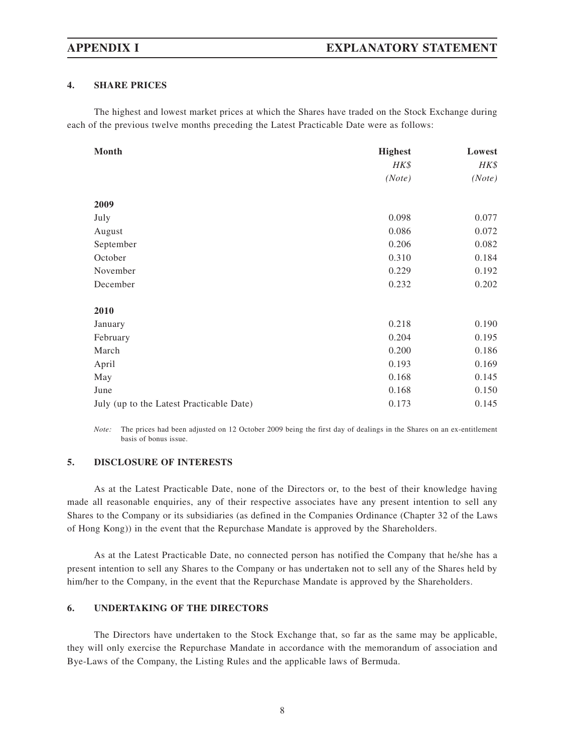### **4. SHARE PRICES**

The highest and lowest market prices at which the Shares have traded on the Stock Exchange during each of the previous twelve months preceding the Latest Practicable Date were as follows:

| Month                                    | <b>Highest</b> | Lowest |
|------------------------------------------|----------------|--------|
|                                          | HK\$           | HK\$   |
|                                          | (Note)         | (Note) |
| 2009                                     |                |        |
|                                          | 0.098          | 0.077  |
| July                                     |                |        |
| August                                   | 0.086          | 0.072  |
| September                                | 0.206          | 0.082  |
| October                                  | 0.310          | 0.184  |
| November                                 | 0.229          | 0.192  |
| December                                 | 0.232          | 0.202  |
| 2010                                     |                |        |
| January                                  | 0.218          | 0.190  |
| February                                 | 0.204          | 0.195  |
| March                                    | 0.200          | 0.186  |
| April                                    | 0.193          | 0.169  |
| May                                      | 0.168          | 0.145  |
| June                                     | 0.168          | 0.150  |
| July (up to the Latest Practicable Date) | 0.173          | 0.145  |

*Note:* The prices had been adjusted on 12 October 2009 being the first day of dealings in the Shares on an ex-entitlement basis of bonus issue.

### **5. DISCLOSURE OF INTERESTS**

As at the Latest Practicable Date, none of the Directors or, to the best of their knowledge having made all reasonable enquiries, any of their respective associates have any present intention to sell any Shares to the Company or its subsidiaries (as defined in the Companies Ordinance (Chapter 32 of the Laws of Hong Kong)) in the event that the Repurchase Mandate is approved by the Shareholders.

As at the Latest Practicable Date, no connected person has notified the Company that he/she has a present intention to sell any Shares to the Company or has undertaken not to sell any of the Shares held by him/her to the Company, in the event that the Repurchase Mandate is approved by the Shareholders.

### **6. UNDERTAKING OF THE DIRECTORS**

The Directors have undertaken to the Stock Exchange that, so far as the same may be applicable, they will only exercise the Repurchase Mandate in accordance with the memorandum of association and Bye-Laws of the Company, the Listing Rules and the applicable laws of Bermuda.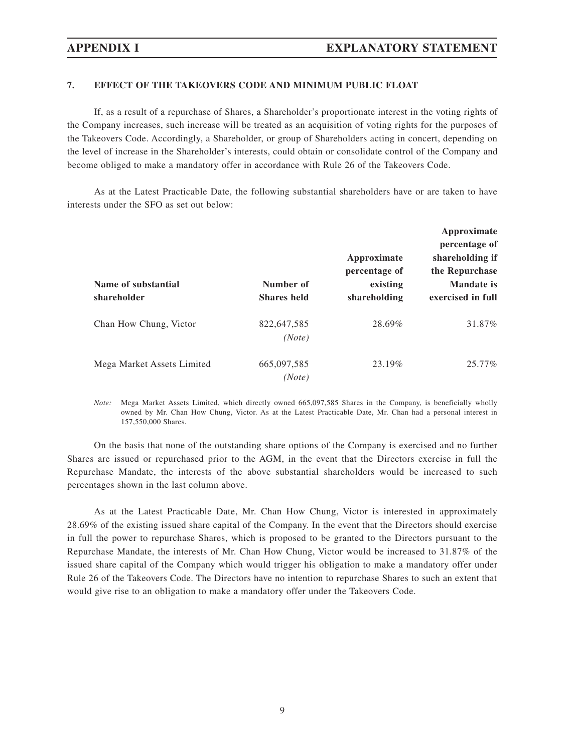### **7. EFFECT OF THE TAKEOVERS CODE AND MINIMUM PUBLIC FLOAT**

If, as a result of a repurchase of Shares, a Shareholder's proportionate interest in the voting rights of the Company increases, such increase will be treated as an acquisition of voting rights for the purposes of the Takeovers Code. Accordingly, a Shareholder, or group of Shareholders acting in concert, depending on the level of increase in the Shareholder's interests, could obtain or consolidate control of the Company and become obliged to make a mandatory offer in accordance with Rule 26 of the Takeovers Code.

As at the Latest Practicable Date, the following substantial shareholders have or are taken to have interests under the SFO as set out below:

| Number of             | Approximate<br>percentage of<br>existing | Approximate<br>percentage of<br>shareholding if<br>the Repurchase<br><b>Mandate</b> is<br>exercised in full |
|-----------------------|------------------------------------------|-------------------------------------------------------------------------------------------------------------|
| 822,647,585           | 28.69%                                   | 31.87%                                                                                                      |
| 665,097,585<br>(Note) | 23.19%                                   | 25.77%                                                                                                      |
|                       | <b>Shares held</b><br>(Note)             | shareholding                                                                                                |

*Note:* Mega Market Assets Limited, which directly owned 665,097,585 Shares in the Company, is beneficially wholly owned by Mr. Chan How Chung, Victor. As at the Latest Practicable Date, Mr. Chan had a personal interest in 157,550,000 Shares.

On the basis that none of the outstanding share options of the Company is exercised and no further Shares are issued or repurchased prior to the AGM, in the event that the Directors exercise in full the Repurchase Mandate, the interests of the above substantial shareholders would be increased to such percentages shown in the last column above.

As at the Latest Practicable Date, Mr. Chan How Chung, Victor is interested in approximately 28.69% of the existing issued share capital of the Company. In the event that the Directors should exercise in full the power to repurchase Shares, which is proposed to be granted to the Directors pursuant to the Repurchase Mandate, the interests of Mr. Chan How Chung, Victor would be increased to 31.87% of the issued share capital of the Company which would trigger his obligation to make a mandatory offer under Rule 26 of the Takeovers Code. The Directors have no intention to repurchase Shares to such an extent that would give rise to an obligation to make a mandatory offer under the Takeovers Code.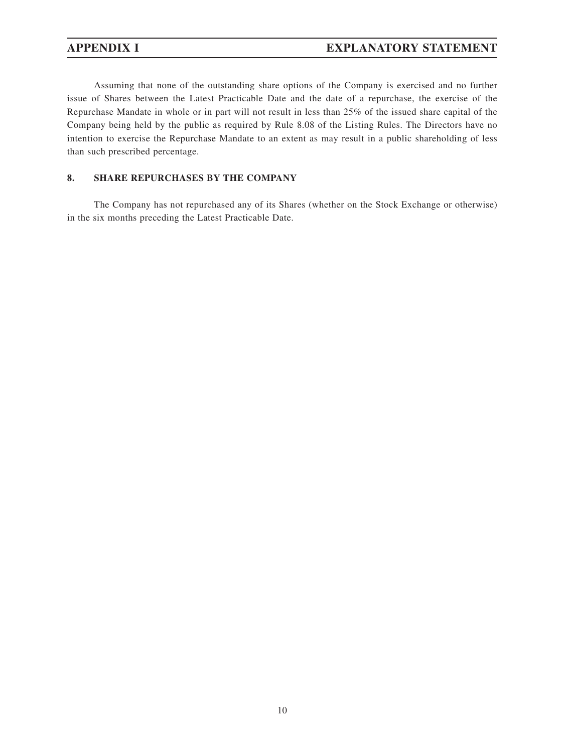Assuming that none of the outstanding share options of the Company is exercised and no further issue of Shares between the Latest Practicable Date and the date of a repurchase, the exercise of the Repurchase Mandate in whole or in part will not result in less than 25% of the issued share capital of the Company being held by the public as required by Rule 8.08 of the Listing Rules. The Directors have no intention to exercise the Repurchase Mandate to an extent as may result in a public shareholding of less than such prescribed percentage.

### **8. SHARE REPURCHASES BY THE COMPANY**

The Company has not repurchased any of its Shares (whether on the Stock Exchange or otherwise) in the six months preceding the Latest Practicable Date.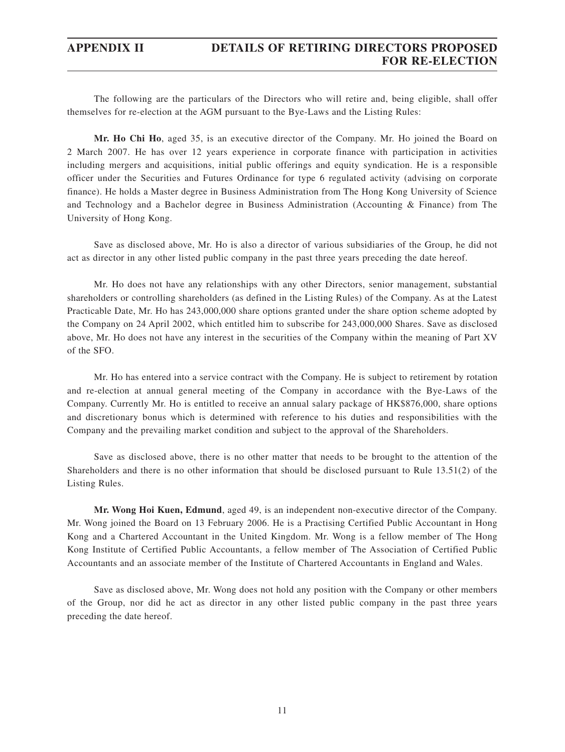# **APPENDIX II DETAILS OF RETIRING DIRECTORS PROPOSED FOR RE-ELECTION**

The following are the particulars of the Directors who will retire and, being eligible, shall offer themselves for re-election at the AGM pursuant to the Bye-Laws and the Listing Rules:

**Mr. Ho Chi Ho**, aged 35, is an executive director of the Company. Mr. Ho joined the Board on 2 March 2007. He has over 12 years experience in corporate finance with participation in activities including mergers and acquisitions, initial public offerings and equity syndication. He is a responsible officer under the Securities and Futures Ordinance for type 6 regulated activity (advising on corporate finance). He holds a Master degree in Business Administration from The Hong Kong University of Science and Technology and a Bachelor degree in Business Administration (Accounting & Finance) from The University of Hong Kong.

Save as disclosed above, Mr. Ho is also a director of various subsidiaries of the Group, he did not act as director in any other listed public company in the past three years preceding the date hereof.

Mr. Ho does not have any relationships with any other Directors, senior management, substantial shareholders or controlling shareholders (as defined in the Listing Rules) of the Company. As at the Latest Practicable Date, Mr. Ho has 243,000,000 share options granted under the share option scheme adopted by the Company on 24 April 2002, which entitled him to subscribe for 243,000,000 Shares. Save as disclosed above, Mr. Ho does not have any interest in the securities of the Company within the meaning of Part XV of the SFO.

Mr. Ho has entered into a service contract with the Company. He is subject to retirement by rotation and re-election at annual general meeting of the Company in accordance with the Bye-Laws of the Company. Currently Mr. Ho is entitled to receive an annual salary package of HK\$876,000, share options and discretionary bonus which is determined with reference to his duties and responsibilities with the Company and the prevailing market condition and subject to the approval of the Shareholders.

Save as disclosed above, there is no other matter that needs to be brought to the attention of the Shareholders and there is no other information that should be disclosed pursuant to Rule 13.51(2) of the Listing Rules.

**Mr. Wong Hoi Kuen, Edmund**, aged 49, is an independent non-executive director of the Company. Mr. Wong joined the Board on 13 February 2006. He is a Practising Certified Public Accountant in Hong Kong and a Chartered Accountant in the United Kingdom. Mr. Wong is a fellow member of The Hong Kong Institute of Certified Public Accountants, a fellow member of The Association of Certified Public Accountants and an associate member of the Institute of Chartered Accountants in England and Wales.

Save as disclosed above, Mr. Wong does not hold any position with the Company or other members of the Group, nor did he act as director in any other listed public company in the past three years preceding the date hereof.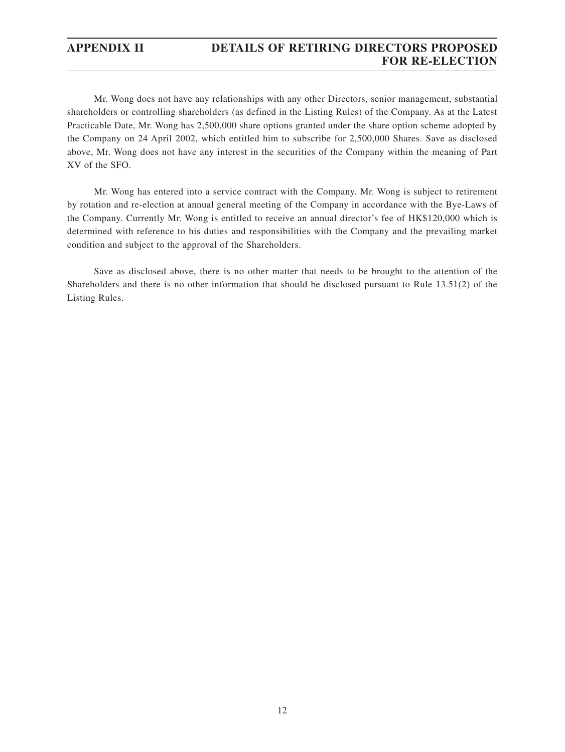## **APPENDIX II DETAILS OF RETIRING DIRECTORS PROPOSED FOR RE-ELECTION**

Mr. Wong does not have any relationships with any other Directors, senior management, substantial shareholders or controlling shareholders (as defined in the Listing Rules) of the Company. As at the Latest Practicable Date, Mr. Wong has 2,500,000 share options granted under the share option scheme adopted by the Company on 24 April 2002, which entitled him to subscribe for 2,500,000 Shares. Save as disclosed above, Mr. Wong does not have any interest in the securities of the Company within the meaning of Part XV of the SFO.

Mr. Wong has entered into a service contract with the Company. Mr. Wong is subject to retirement by rotation and re-election at annual general meeting of the Company in accordance with the Bye-Laws of the Company. Currently Mr. Wong is entitled to receive an annual director's fee of HK\$120,000 which is determined with reference to his duties and responsibilities with the Company and the prevailing market condition and subject to the approval of the Shareholders.

Save as disclosed above, there is no other matter that needs to be brought to the attention of the Shareholders and there is no other information that should be disclosed pursuant to Rule 13.51(2) of the Listing Rules.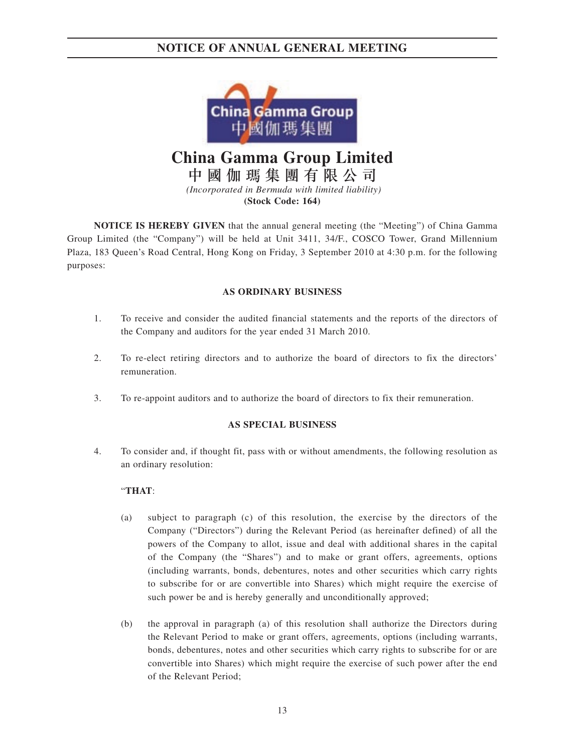

**China Gamma Group Limited**

中國伽瑪集團有限公司  *(Incorporated in Bermuda with limited liability)*

**(Stock Code: 164)**

**NOTICE IS HEREBY GIVEN** that the annual general meeting (the "Meeting") of China Gamma Group Limited (the "Company") will be held at Unit 3411, 34/F., COSCO Tower, Grand Millennium Plaza, 183 Queen's Road Central, Hong Kong on Friday, 3 September 2010 at 4:30 p.m. for the following purposes:

### **AS ORDINARY BUSINESS**

- 1. To receive and consider the audited financial statements and the reports of the directors of the Company and auditors for the year ended 31 March 2010.
- 2. To re-elect retiring directors and to authorize the board of directors to fix the directors' remuneration.
- 3. To re-appoint auditors and to authorize the board of directors to fix their remuneration.

### **AS SPECIAL BUSINESS**

4. To consider and, if thought fit, pass with or without amendments, the following resolution as an ordinary resolution:

### "**THAT**:

- (a) subject to paragraph (c) of this resolution, the exercise by the directors of the Company ("Directors") during the Relevant Period (as hereinafter defined) of all the powers of the Company to allot, issue and deal with additional shares in the capital of the Company (the "Shares") and to make or grant offers, agreements, options (including warrants, bonds, debentures, notes and other securities which carry rights to subscribe for or are convertible into Shares) which might require the exercise of such power be and is hereby generally and unconditionally approved;
- (b) the approval in paragraph (a) of this resolution shall authorize the Directors during the Relevant Period to make or grant offers, agreements, options (including warrants, bonds, debentures, notes and other securities which carry rights to subscribe for or are convertible into Shares) which might require the exercise of such power after the end of the Relevant Period;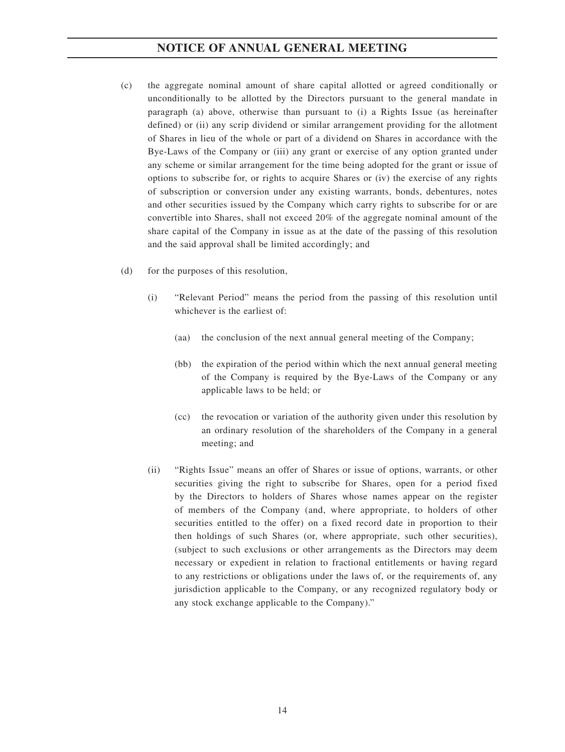- (c) the aggregate nominal amount of share capital allotted or agreed conditionally or unconditionally to be allotted by the Directors pursuant to the general mandate in paragraph (a) above, otherwise than pursuant to (i) a Rights Issue (as hereinafter defined) or (ii) any scrip dividend or similar arrangement providing for the allotment of Shares in lieu of the whole or part of a dividend on Shares in accordance with the Bye-Laws of the Company or (iii) any grant or exercise of any option granted under any scheme or similar arrangement for the time being adopted for the grant or issue of options to subscribe for, or rights to acquire Shares or (iv) the exercise of any rights of subscription or conversion under any existing warrants, bonds, debentures, notes and other securities issued by the Company which carry rights to subscribe for or are convertible into Shares, shall not exceed 20% of the aggregate nominal amount of the share capital of the Company in issue as at the date of the passing of this resolution and the said approval shall be limited accordingly; and
- (d) for the purposes of this resolution,
	- (i) "Relevant Period" means the period from the passing of this resolution until whichever is the earliest of:
		- (aa) the conclusion of the next annual general meeting of the Company;
		- (bb) the expiration of the period within which the next annual general meeting of the Company is required by the Bye-Laws of the Company or any applicable laws to be held; or
		- (cc) the revocation or variation of the authority given under this resolution by an ordinary resolution of the shareholders of the Company in a general meeting; and
	- (ii) "Rights Issue" means an offer of Shares or issue of options, warrants, or other securities giving the right to subscribe for Shares, open for a period fixed by the Directors to holders of Shares whose names appear on the register of members of the Company (and, where appropriate, to holders of other securities entitled to the offer) on a fixed record date in proportion to their then holdings of such Shares (or, where appropriate, such other securities), (subject to such exclusions or other arrangements as the Directors may deem necessary or expedient in relation to fractional entitlements or having regard to any restrictions or obligations under the laws of, or the requirements of, any jurisdiction applicable to the Company, or any recognized regulatory body or any stock exchange applicable to the Company)."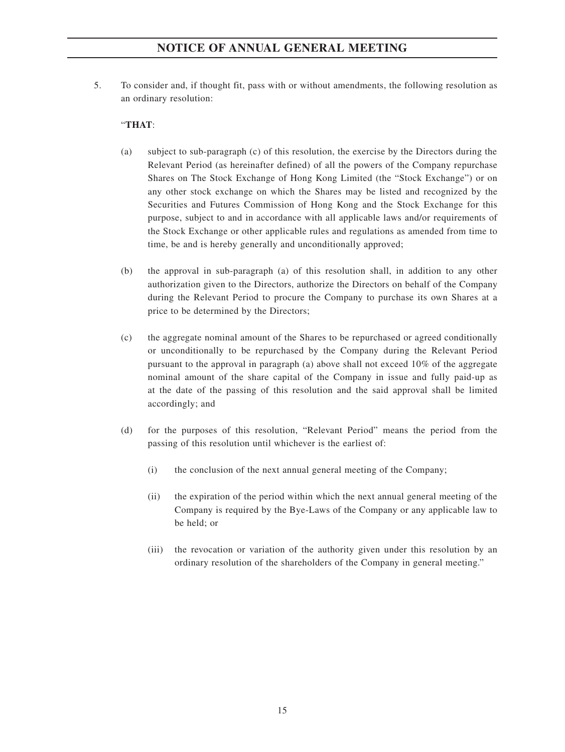5. To consider and, if thought fit, pass with or without amendments, the following resolution as an ordinary resolution:

### "**THAT**:

- (a) subject to sub-paragraph (c) of this resolution, the exercise by the Directors during the Relevant Period (as hereinafter defined) of all the powers of the Company repurchase Shares on The Stock Exchange of Hong Kong Limited (the "Stock Exchange") or on any other stock exchange on which the Shares may be listed and recognized by the Securities and Futures Commission of Hong Kong and the Stock Exchange for this purpose, subject to and in accordance with all applicable laws and/or requirements of the Stock Exchange or other applicable rules and regulations as amended from time to time, be and is hereby generally and unconditionally approved;
- (b) the approval in sub-paragraph (a) of this resolution shall, in addition to any other authorization given to the Directors, authorize the Directors on behalf of the Company during the Relevant Period to procure the Company to purchase its own Shares at a price to be determined by the Directors;
- (c) the aggregate nominal amount of the Shares to be repurchased or agreed conditionally or unconditionally to be repurchased by the Company during the Relevant Period pursuant to the approval in paragraph (a) above shall not exceed 10% of the aggregate nominal amount of the share capital of the Company in issue and fully paid-up as at the date of the passing of this resolution and the said approval shall be limited accordingly; and
- (d) for the purposes of this resolution, "Relevant Period" means the period from the passing of this resolution until whichever is the earliest of:
	- (i) the conclusion of the next annual general meeting of the Company;
	- (ii) the expiration of the period within which the next annual general meeting of the Company is required by the Bye-Laws of the Company or any applicable law to be held; or
	- (iii) the revocation or variation of the authority given under this resolution by an ordinary resolution of the shareholders of the Company in general meeting."